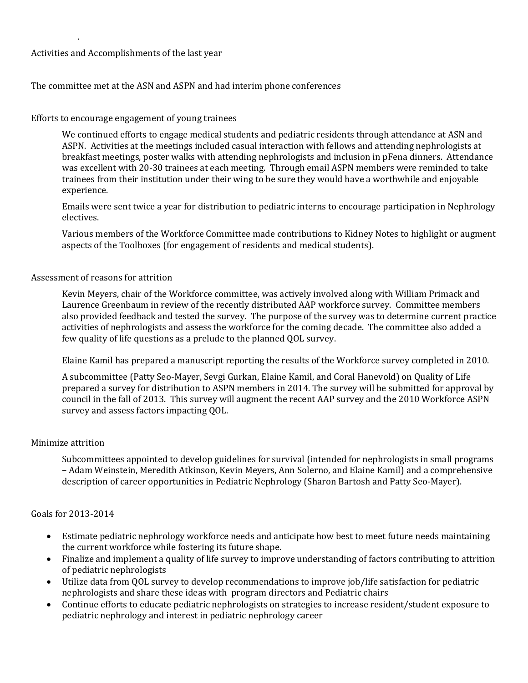## Activities and Accomplishments of the last year

. 

# The committee met at the ASN and ASPN and had interim phone conferences

### Efforts to encourage engagement of young trainees

We continued efforts to engage medical students and pediatric residents through attendance at ASN and ASPN. Activities at the meetings included casual interaction with fellows and attending nephrologists at breakfast meetings, poster walks with attending nephrologists and inclusion in pFena dinners. Attendance was excellent with 20-30 trainees at each meeting. Through email ASPN members were reminded to take trainees from their institution under their wing to be sure they would have a worthwhile and enjoyable experience. 

Emails were sent twice a year for distribution to pediatric interns to encourage participation in Nephrology electives. 

Various members of the Workforce Committee made contributions to Kidney Notes to highlight or augment aspects of the Toolboxes (for engagement of residents and medical students).

#### Assessment of reasons for attrition

Kevin Meyers, chair of the Workforce committee, was actively involved along with William Primack and Laurence Greenbaum in review of the recently distributed AAP workforce survey. Committee members also provided feedback and tested the survey. The purpose of the survey was to determine current practice activities of nephrologists and assess the workforce for the coming decade. The committee also added a few quality of life questions as a prelude to the planned QOL survey.

Elaine Kamil has prepared a manuscript reporting the results of the Workforce survey completed in 2010.

A subcommittee (Patty Seo-Mayer, Sevgi Gurkan, Elaine Kamil, and Coral Hanevold) on Quality of Life prepared a survey for distribution to ASPN members in 2014. The survey will be submitted for approval by council in the fall of 2013. This survey will augment the recent AAP survey and the 2010 Workforce ASPN survey and assess factors impacting OOL.

#### Minimize attrition

Subcommittees appointed to develop guidelines for survival (intended for nephrologists in small programs – Adam Weinstein, Meredith Atkinson, Kevin Meyers, Ann Solerno, and Elaine Kamil) and a comprehensive description of career opportunities in Pediatric Nephrology (Sharon Bartosh and Patty Seo-Mayer).

## Goals for 2013‐2014

- Estimate pediatric nephrology workforce needs and anticipate how best to meet future needs maintaining the current workforce while fostering its future shape.
- Finalize and implement a quality of life survey to improve understanding of factors contributing to attrition of pediatric nephrologists
- Utilize data from QOL survey to develop recommendations to improve job/life satisfaction for pediatric nephrologists and share these ideas with program directors and Pediatric chairs
- Continue efforts to educate pediatric nephrologists on strategies to increase resident/student exposure to pediatric nephrology and interest in pediatric nephrology career